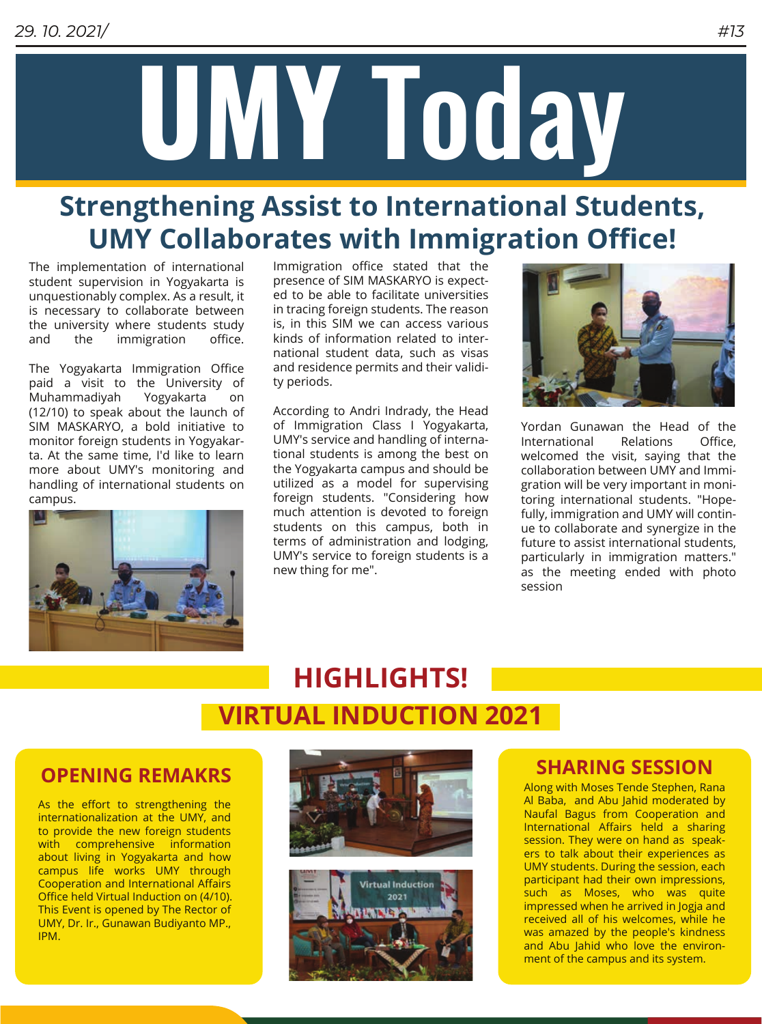

# **Strengthening Assist to International Students, UMY Collaborates with Immigration Office!**

The implementation of international student supervision in Yogyakarta is unquestionably complex. As a result, it is necessary to collaborate between the university where students study and the immigration office.

The Yogyakarta Immigration Office paid a visit to the University of Muhammadiyah Yogyakarta on (12/10) to speak about the launch of SIM MASKARYO, a bold initiative to monitor foreign students in Yogyakarta. At the same time, I'd like to learn more about UMY's monitoring and handling of international students on campus.



Immigration office stated that the presence of SIM MASKARYO is expected to be able to facilitate universities in tracing foreign students. The reason is, in this SIM we can access various kinds of information related to international student data, such as visas and residence permits and their validity periods.

According to Andri Indrady, the Head of Immigration Class I Yogyakarta, UMY's service and handling of international students is among the best on the Yogyakarta campus and should be utilized as a model for supervising foreign students. "Considering how much attention is devoted to foreign students on this campus, both in terms of administration and lodging, UMY's service to foreign students is a new thing for me".



Yordan Gunawan the Head of the International Relations Office, welcomed the visit, saying that the collaboration between UMY and Immigration will be very important in monitoring international students. "Hopefully, immigration and UMY will continue to collaborate and synergize in the future to assist international students, particularly in immigration matters." as the meeting ended with photo session

# **HIGHLIGHTS! VIRTUAL INDUCTION 2021**

As the effort to strengthening the internationalization at the UMY, and to provide the new foreign students with comprehensive information about living in Yogyakarta and how campus life works UMY through Cooperation and International Affairs Office held Virtual Induction on (4/10). This Event is opened by The Rector of UMY, Dr. Ir., Gunawan Budiyanto MP., IPM.





Along with Moses Tende Stephen, Rana Al Baba, and Abu Jahid moderated by Naufal Bagus from Cooperation and International Affairs held a sharing session. They were on hand as speakers to talk about their experiences as UMY students. During the session, each participant had their own impressions, such as Moses, who was quite impressed when he arrived in Jogja and received all of his welcomes, while he was amazed by the people's kindness and Abu Jahid who love the environment of the campus and its system.